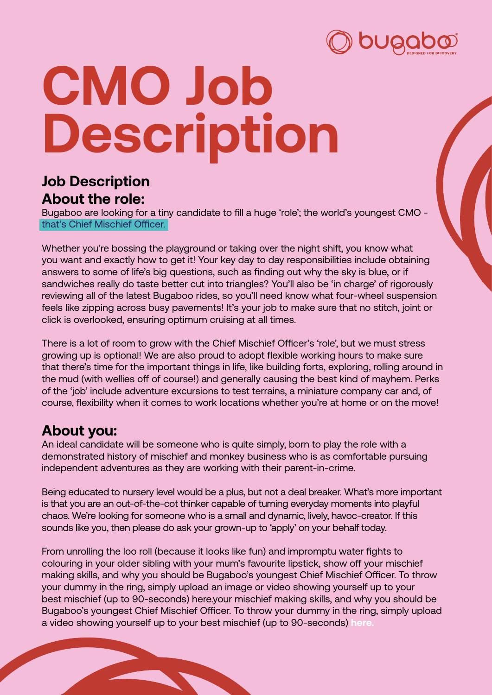

# **CMO Job Description**

## **Job Description About the role:**

Bugaboo are looking for a tiny candidate to fill a huge 'role'; the world's youngest CMO that's Chief Mischief Officer.

Whether you're bossing the playground or taking over the night shift, you know what you want and exactly how to get it! Your key day to day responsibilities include obtaining answers to some of life's big questions, such as finding out why the sky is blue, or if sandwiches really do taste better cut into triangles? You'll also be 'in charge' of rigorously reviewing all of the latest Bugaboo rides, so you'll need know what four-wheel suspension feels like zipping across busy pavements! It's your job to make sure that no stitch, joint or click is overlooked, ensuring optimum cruising at all times.

There is a lot of room to grow with the Chief Mischief Officer's 'role', but we must stress growing up is optional! We are also proud to adopt flexible working hours to make sure that there's time for the important things in life, like building forts, exploring, rolling around in the mud (with wellies off of course!) and generally causing the best kind of mayhem. Perks of the 'job' include adventure excursions to test terrains, a miniature company car and, of course, flexibility when it comes to work locations whether you're at home or on the move!

## **About you:**

An ideal candidate will be someone who is quite simply, born to play the role with a demonstrated history of mischief and monkey business who is as comfortable pursuing independent adventures as they are working with their parent-in-crime.

Being educated to nursery level would be a plus, but not a deal breaker. What's more important is that you are an out-of-the-cot thinker capable of turning everyday moments into playful chaos. We're looking for someone who is a small and dynamic, lively, havoc-creator. If this sounds like you, then please do ask your grown-up to 'apply' on your behalf today.

From unrolling the loo roll (because it looks like fun) and impromptu water fights to colouring in your older sibling with your mum's favourite lipstick, show off your mischief making skills, and why you should be Bugaboo's youngest Chief Mischief Officer. To throw your dummy in the ring, simply upload an image or video showing yourself up to your best mischief (up to 90-seconds) here.your mischief making skills, and why you should be Bugaboo's youngest Chief Mischief Officer. To throw your dummy in the ring, simply upload a video showing yourself up to your best mischief (up to 90-seconds) **[here.](http://www.mybabymademedoit.com)**